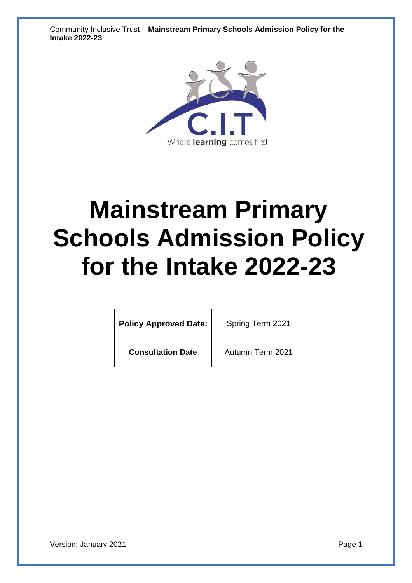Community Inclusive Trust – **Mainstream Primary Schools Admission Policy for the Intake 2022-23**



# **Mainstream Primary Schools Admission Policy for the Intake 2022-23**

| <b>Policy Approved Date:</b> | Spring Term 2021 |  |
|------------------------------|------------------|--|
| <b>Consultation Date</b>     | Autumn Term 2021 |  |

Version: January 2021 **Page 1**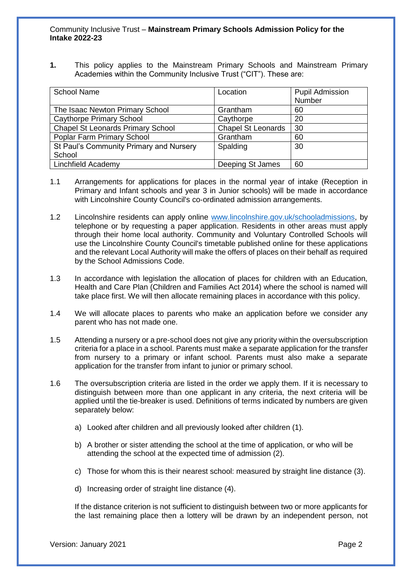**1.** This policy applies to the Mainstream Primary Schools and Mainstream Primary Academies within the Community Inclusive Trust ("CIT"). These are:

| <b>School Name</b>                       | Location                  | <b>Pupil Admission</b><br>Number |
|------------------------------------------|---------------------------|----------------------------------|
| The Isaac Newton Primary School          | Grantham                  | 60                               |
| <b>Caythorpe Primary School</b>          | Caythorpe                 | 20                               |
| <b>Chapel St Leonards Primary School</b> | <b>Chapel St Leonards</b> | 30                               |
| Poplar Farm Primary School               | Grantham                  | 60                               |
| St Paul's Community Primary and Nursery  | Spalding                  | 30                               |
| School                                   |                           |                                  |
| Linchfield Academy                       | Deeping St James          | 60                               |

- 1.1 Arrangements for applications for places in the normal year of intake (Reception in Primary and Infant schools and year 3 in Junior schools) will be made in accordance with Lincolnshire County Council's co-ordinated admission arrangements.
- 1.2 Lincolnshire residents can apply online [www.lincolnshire.gov.uk/schooladmissions,](http://www.lincolnshire.gov.uk/schooladmissions) by telephone or by requesting a paper application. Residents in other areas must apply through their home local authority. Community and Voluntary Controlled Schools will use the Lincolnshire County Council's timetable published online for these applications and the relevant Local Authority will make the offers of places on their behalf as required by the School Admissions Code.
- 1.3 In accordance with legislation the allocation of places for children with an Education, Health and Care Plan (Children and Families Act 2014) where the school is named will take place first. We will then allocate remaining places in accordance with this policy.
- 1.4 We will allocate places to parents who make an application before we consider any parent who has not made one.
- 1.5 Attending a nursery or a pre-school does not give any priority within the oversubscription criteria for a place in a school. Parents must make a separate application for the transfer from nursery to a primary or infant school. Parents must also make a separate application for the transfer from infant to junior or primary school.
- 1.6 The oversubscription criteria are listed in the order we apply them. If it is necessary to distinguish between more than one applicant in any criteria, the next criteria will be applied until the tie-breaker is used. Definitions of terms indicated by numbers are given separately below:
	- a) Looked after children and all previously looked after children (1).
	- b) A brother or sister attending the school at the time of application, or who will be attending the school at the expected time of admission (2).
	- c) Those for whom this is their nearest school: measured by straight line distance (3).
	- d) Increasing order of straight line distance (4).

If the distance criterion is not sufficient to distinguish between two or more applicants for the last remaining place then a lottery will be drawn by an independent person, not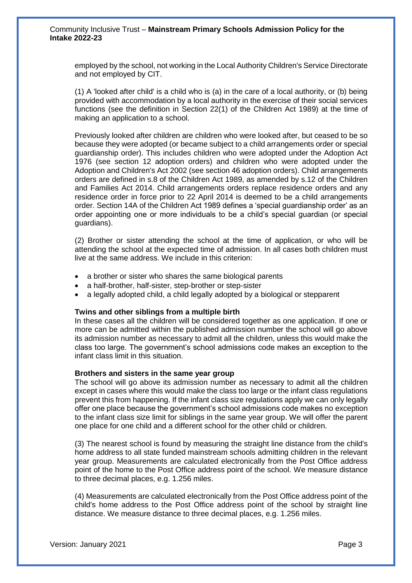employed by the school, not working in the Local Authority Children's Service Directorate and not employed by CIT.

(1) A 'looked after child' is a child who is (a) in the care of a local authority, or (b) being provided with accommodation by a local authority in the exercise of their social services functions (see the definition in Section 22(1) of the Children Act 1989) at the time of making an application to a school.

Previously looked after children are children who were looked after, but ceased to be so because they were adopted (or became subject to a child arrangements order or special guardianship order). This includes children who were adopted under the Adoption Act 1976 (see section 12 adoption orders) and children who were adopted under the Adoption and Children's Act 2002 (see section 46 adoption orders). Child arrangements orders are defined in s.8 of the Children Act 1989, as amended by s.12 of the Children and Families Act 2014. Child arrangements orders replace residence orders and any residence order in force prior to 22 April 2014 is deemed to be a child arrangements order. Section 14A of the Children Act 1989 defines a 'special guardianship order' as an order appointing one or more individuals to be a child's special guardian (or special guardians).

(2) Brother or sister attending the school at the time of application, or who will be attending the school at the expected time of admission. In all cases both children must live at the same address. We include in this criterion:

- a brother or sister who shares the same biological parents
- a half-brother, half-sister, step-brother or step-sister
- a legally adopted child, a child legally adopted by a biological or stepparent

#### **Twins and other siblings from a multiple birth**

In these cases all the children will be considered together as one application. If one or more can be admitted within the published admission number the school will go above its admission number as necessary to admit all the children, unless this would make the class too large. The government's school admissions code makes an exception to the infant class limit in this situation.

#### **Brothers and sisters in the same year group**

The school will go above its admission number as necessary to admit all the children except in cases where this would make the class too large or the infant class regulations prevent this from happening. If the infant class size regulations apply we can only legally offer one place because the government's school admissions code makes no exception to the infant class size limit for siblings in the same year group. We will offer the parent one place for one child and a different school for the other child or children.

(3) The nearest school is found by measuring the straight line distance from the child's home address to all state funded mainstream schools admitting children in the relevant year group. Measurements are calculated electronically from the Post Office address point of the home to the Post Office address point of the school. We measure distance to three decimal places, e.g. 1.256 miles.

(4) Measurements are calculated electronically from the Post Office address point of the child's home address to the Post Office address point of the school by straight line distance. We measure distance to three decimal places, e.g. 1.256 miles.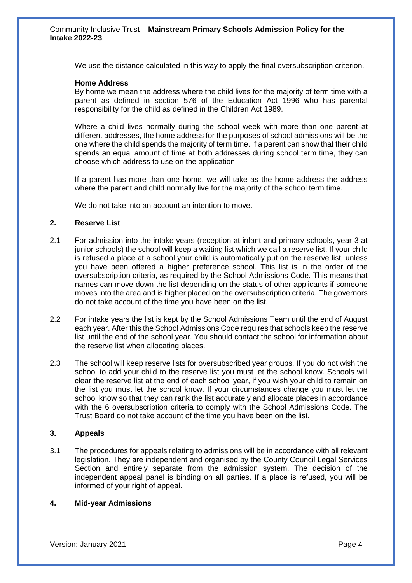We use the distance calculated in this way to apply the final oversubscription criterion.

#### **Home Address**

By home we mean the address where the child lives for the majority of term time with a parent as defined in section 576 of the Education Act 1996 who has parental responsibility for the child as defined in the Children Act 1989.

Where a child lives normally during the school week with more than one parent at different addresses, the home address for the purposes of school admissions will be the one where the child spends the majority of term time. If a parent can show that their child spends an equal amount of time at both addresses during school term time, they can choose which address to use on the application.

If a parent has more than one home, we will take as the home address the address where the parent and child normally live for the majority of the school term time.

We do not take into an account an intention to move.

#### **2. Reserve List**

- 2.1 For admission into the intake years (reception at infant and primary schools, year 3 at junior schools) the school will keep a waiting list which we call a reserve list. If your child is refused a place at a school your child is automatically put on the reserve list, unless you have been offered a higher preference school. This list is in the order of the oversubscription criteria, as required by the School Admissions Code. This means that names can move down the list depending on the status of other applicants if someone moves into the area and is higher placed on the oversubscription criteria. The governors do not take account of the time you have been on the list.
- 2.2 For intake years the list is kept by the School Admissions Team until the end of August each year. After this the School Admissions Code requires that schools keep the reserve list until the end of the school year. You should contact the school for information about the reserve list when allocating places.
- 2.3 The school will keep reserve lists for oversubscribed year groups. If you do not wish the school to add your child to the reserve list you must let the school know. Schools will clear the reserve list at the end of each school year, if you wish your child to remain on the list you must let the school know. If your circumstances change you must let the school know so that they can rank the list accurately and allocate places in accordance with the 6 oversubscription criteria to comply with the School Admissions Code. The Trust Board do not take account of the time you have been on the list.

#### **3. Appeals**

3.1 The procedures for appeals relating to admissions will be in accordance with all relevant legislation. They are independent and organised by the County Council Legal Services Section and entirely separate from the admission system. The decision of the independent appeal panel is binding on all parties. If a place is refused, you will be informed of your right of appeal.

#### **4. Mid-year Admissions**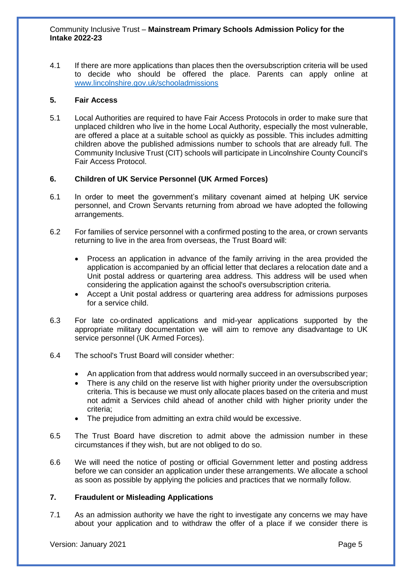4.1 If there are more applications than places then the oversubscription criteria will be used to decide who should be offered the place. Parents can apply online at [www.lincolnshire.gov.uk/schooladmissions](http://www.lincolnshire.gov.uk/schooladmissions) 

#### **5. Fair Access**

5.1 Local Authorities are required to have Fair Access Protocols in order to make sure that unplaced children who live in the home Local Authority, especially the most vulnerable, are offered a place at a suitable school as quickly as possible. This includes admitting children above the published admissions number to schools that are already full. The Community Inclusive Trust (CIT) schools will participate in Lincolnshire County Council's Fair Access Protocol.

## **6. Children of UK Service Personnel (UK Armed Forces)**

- 6.1 In order to meet the government's military covenant aimed at helping UK service personnel, and Crown Servants returning from abroad we have adopted the following arrangements.
- 6.2 For families of service personnel with a confirmed posting to the area, or crown servants returning to live in the area from overseas, the Trust Board will:
	- Process an application in advance of the family arriving in the area provided the application is accompanied by an official letter that declares a relocation date and a Unit postal address or quartering area address. This address will be used when considering the application against the school's oversubscription criteria.
	- Accept a Unit postal address or quartering area address for admissions purposes for a service child.
- 6.3 For late co‐ordinated applications and mid-year applications supported by the appropriate military documentation we will aim to remove any disadvantage to UK service personnel (UK Armed Forces).
- 6.4 The school's Trust Board will consider whether:
	- An application from that address would normally succeed in an oversubscribed year;
	- There is any child on the reserve list with higher priority under the oversubscription criteria. This is because we must only allocate places based on the criteria and must not admit a Services child ahead of another child with higher priority under the criteria;
	- The prejudice from admitting an extra child would be excessive.
- 6.5 The Trust Board have discretion to admit above the admission number in these circumstances if they wish, but are not obliged to do so.
- 6.6 We will need the notice of posting or official Government letter and posting address before we can consider an application under these arrangements. We allocate a school as soon as possible by applying the policies and practices that we normally follow.

## **7. Fraudulent or Misleading Applications**

7.1 As an admission authority we have the right to investigate any concerns we may have about your application and to withdraw the offer of a place if we consider there is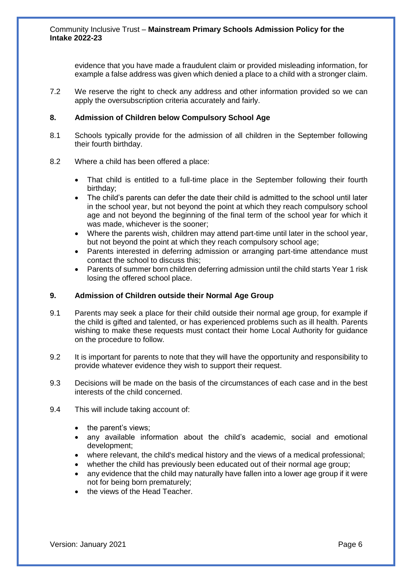evidence that you have made a fraudulent claim or provided misleading information, for example a false address was given which denied a place to a child with a stronger claim.

7.2 We reserve the right to check any address and other information provided so we can apply the oversubscription criteria accurately and fairly.

#### **8. Admission of Children below Compulsory School Age**

- 8.1 Schools typically provide for the admission of all children in the September following their fourth birthday.
- 8.2 Where a child has been offered a place:
	- That child is entitled to a full-time place in the September following their fourth birthday;
	- The child's parents can defer the date their child is admitted to the school until later in the school year, but not beyond the point at which they reach compulsory school age and not beyond the beginning of the final term of the school year for which it was made, whichever is the sooner;
	- Where the parents wish, children may attend part-time until later in the school year, but not beyond the point at which they reach compulsory school age;
	- Parents interested in deferring admission or arranging part-time attendance must contact the school to discuss this;
	- Parents of summer born children deferring admission until the child starts Year 1 risk losing the offered school place.

#### **9. Admission of Children outside their Normal Age Group**

- 9.1 Parents may seek a place for their child outside their normal age group, for example if the child is gifted and talented, or has experienced problems such as ill health. Parents wishing to make these requests must contact their home Local Authority for guidance on the procedure to follow.
- 9.2 It is important for parents to note that they will have the opportunity and responsibility to provide whatever evidence they wish to support their request.
- 9.3 Decisions will be made on the basis of the circumstances of each case and in the best interests of the child concerned.
- 9.4 This will include taking account of:
	- the parent's views;
	- any available information about the child's academic, social and emotional development;
	- where relevant, the child's medical history and the views of a medical professional;
	- whether the child has previously been educated out of their normal age group;
	- any evidence that the child may naturally have fallen into a lower age group if it were not for being born prematurely;
	- the views of the Head Teacher.